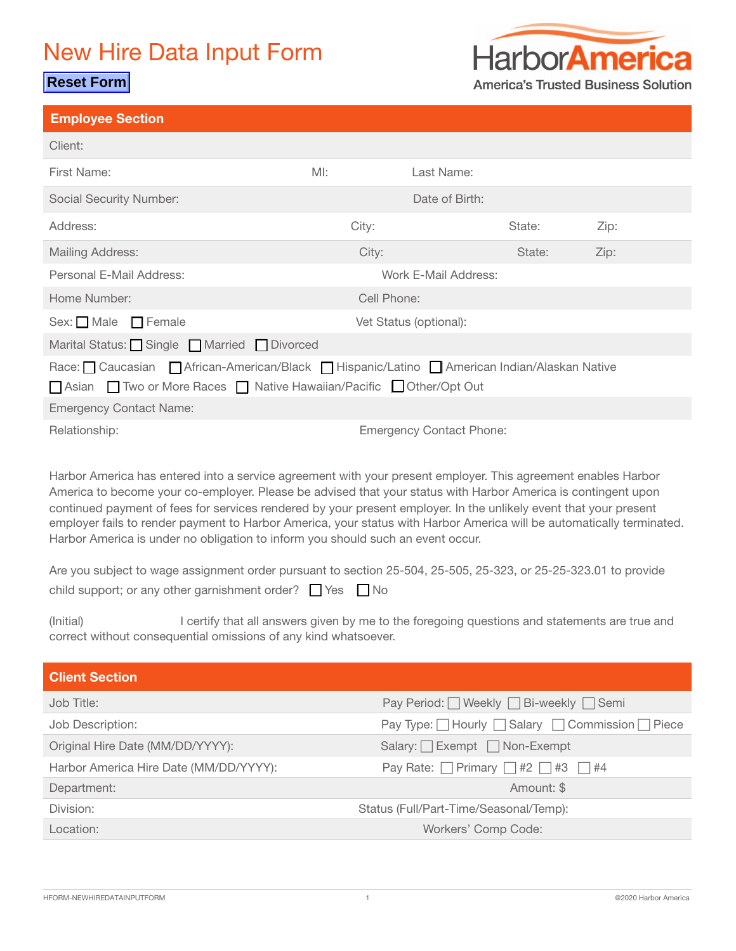## New Hire Data Input Form

### **Reset Form**



**America's Trusted Business Solution** 

| <b>Employee Section</b>                                                                                                                                                                                                                                                                                                                             |        |                                 |        |      |
|-----------------------------------------------------------------------------------------------------------------------------------------------------------------------------------------------------------------------------------------------------------------------------------------------------------------------------------------------------|--------|---------------------------------|--------|------|
| Client:                                                                                                                                                                                                                                                                                                                                             |        |                                 |        |      |
| First Name:                                                                                                                                                                                                                                                                                                                                         | $M!$ : | Last Name:                      |        |      |
| <b>Social Security Number:</b>                                                                                                                                                                                                                                                                                                                      |        | Date of Birth:                  |        |      |
| Address:                                                                                                                                                                                                                                                                                                                                            | City:  |                                 | State: | Zip: |
| <b>Mailing Address:</b>                                                                                                                                                                                                                                                                                                                             | City:  |                                 | State: | Zip: |
| Personal E-Mail Address:                                                                                                                                                                                                                                                                                                                            |        | Work E-Mail Address:            |        |      |
| Home Number:                                                                                                                                                                                                                                                                                                                                        |        | Cell Phone:                     |        |      |
| Sex: $\Box$ Male $\Box$ Female                                                                                                                                                                                                                                                                                                                      |        | Vet Status (optional):          |        |      |
| Marital Status: Single Married Divorced                                                                                                                                                                                                                                                                                                             |        |                                 |        |      |
| Race: Caucasian African-American/Black Hispanic/Latino American Indian/Alaskan Native                                                                                                                                                                                                                                                               |        |                                 |        |      |
| □ Two or More Races □ Native Hawaiian/Pacific □ Other/Opt Out<br>$\Box$ Asian                                                                                                                                                                                                                                                                       |        |                                 |        |      |
| <b>Emergency Contact Name:</b>                                                                                                                                                                                                                                                                                                                      |        |                                 |        |      |
| Relationship:                                                                                                                                                                                                                                                                                                                                       |        | <b>Emergency Contact Phone:</b> |        |      |
| Harbor America has entered into a service agreement with your present employer. This agreement enables Harbor<br>America to become your co-employer. Please be advised that your status with Harbor America is contingent upon<br>continued payment of fees for services rendered by your present employer. In the unlikely event that your present |        |                                 |        |      |

employer fails to render payment to Harbor America, your status with Harbor America will be automatically terminated. Harbor America is under no obligation to inform you should such an event occur.

Are you subject to wage assignment order pursuant to section 25-504, 25-505, 25-323, or 25-25-323.01 to provide child support; or any other garnishment order?  $\Box$  Yes  $\Box$  No

(Initial) I certify that all answers given by me to the foregoing questions and statements are true and correct without consequential omissions of any kind whatsoever.

| <b>Client Section</b>                  |                                                 |
|----------------------------------------|-------------------------------------------------|
| Job Title:                             | Pay Period:   Weekly   Bi-weekly   Semi         |
| Job Description:                       | Pay Type: Hourly Salary Commission   Piece      |
| Original Hire Date (MM/DD/YYYY):       | Salary: Exempt Non-Exempt                       |
| Harbor America Hire Date (MM/DD/YYYY): | Pay Rate: Primary $\Box$ #2 $\Box$ #3 $\Box$ #4 |
| Department:                            | Amount: \$                                      |
| Division:                              | Status (Full/Part-Time/Seasonal/Temp):          |
| Location:                              | Workers' Comp Code:                             |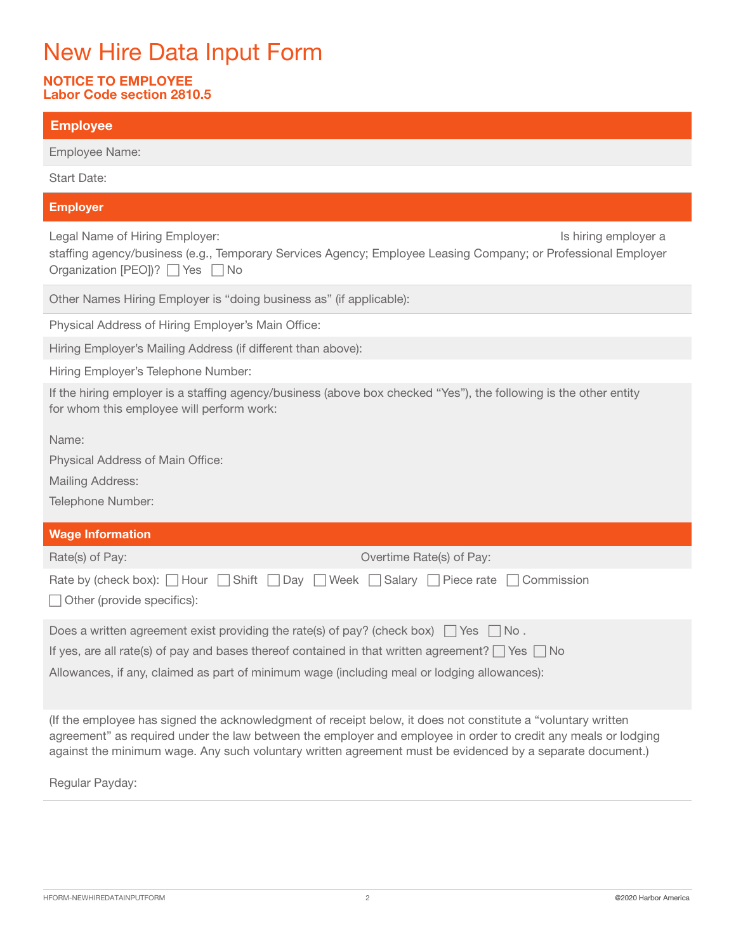# New Hire Data Input Form

### NOTICE TO EMPLOYEE Labor Code section 2810.5

| <b>Employee</b>                                                                                                                                                                                                                                                                                                                               |
|-----------------------------------------------------------------------------------------------------------------------------------------------------------------------------------------------------------------------------------------------------------------------------------------------------------------------------------------------|
| Employee Name:                                                                                                                                                                                                                                                                                                                                |
| <b>Start Date:</b>                                                                                                                                                                                                                                                                                                                            |
| <b>Employer</b>                                                                                                                                                                                                                                                                                                                               |
| Legal Name of Hiring Employer:<br>Is hiring employer a<br>staffing agency/business (e.g., Temporary Services Agency; Employee Leasing Company; or Professional Employer<br>Organization [PEO])? Ves ∩ No                                                                                                                                      |
| Other Names Hiring Employer is "doing business as" (if applicable):                                                                                                                                                                                                                                                                           |
| Physical Address of Hiring Employer's Main Office:                                                                                                                                                                                                                                                                                            |
| Hiring Employer's Mailing Address (if different than above):                                                                                                                                                                                                                                                                                  |
| Hiring Employer's Telephone Number:                                                                                                                                                                                                                                                                                                           |
| If the hiring employer is a staffing agency/business (above box checked "Yes"), the following is the other entity<br>for whom this employee will perform work:                                                                                                                                                                                |
| Name:                                                                                                                                                                                                                                                                                                                                         |
| Physical Address of Main Office:                                                                                                                                                                                                                                                                                                              |
| <b>Mailing Address:</b>                                                                                                                                                                                                                                                                                                                       |
| Telephone Number:                                                                                                                                                                                                                                                                                                                             |
| <b>Wage Information</b>                                                                                                                                                                                                                                                                                                                       |
| Overtime Rate(s) of Pay:<br>Rate(s) of Pay:                                                                                                                                                                                                                                                                                                   |
| $\Box$ Shift<br>Week $\Box$ Salary $\Box$ Piece rate<br>Commission<br>Rate by (check box): $\Box$ Hour<br>Day<br>$\mathbf{1}$<br>Other (provide specifics):                                                                                                                                                                                   |
| Does a written agreement exist providing the rate(s) of pay? (check box) $\Box$ Yes<br>No.                                                                                                                                                                                                                                                    |
| If yes, are all rate(s) of pay and bases thereof contained in that written agreement? $\Box$ Yes $\Box$ No                                                                                                                                                                                                                                    |
| Allowances, if any, claimed as part of minimum wage (including meal or lodging allowances):                                                                                                                                                                                                                                                   |
| (If the employee has signed the acknowledgment of receipt below, it does not constitute a "voluntary written")<br>agreement" as required under the law between the employer and employee in order to credit any meals or lodging<br>against the minimum wage. Any such voluntary written agreement must be evidenced by a separate document.) |

Regular Payday: